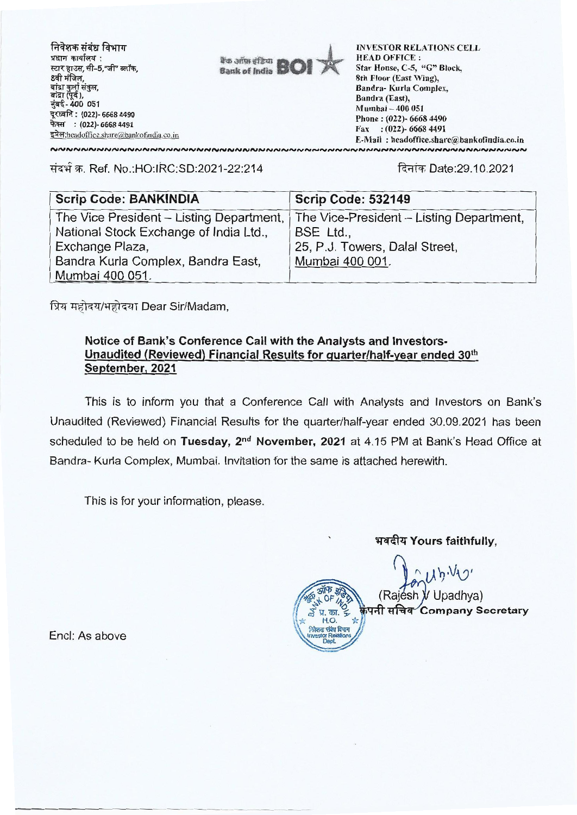

T. Ref. No.:HO:IRC:SD:2021-22:214 f<fftT Date:29.10.2021

| <b>Scrip Code: BANKINDIA</b>             | <b>Scrip Code: 532149</b>                |
|------------------------------------------|------------------------------------------|
| The Vice President - Listing Department, | The Vice-President – Listing Department, |
| National Stock Exchange of India Ltd.,   | BSE Ltd.,                                |
| Exchange Plaza,                          | 25, P.J. Towers, Dalal Street.           |
| Bandra Kurla Complex, Bandra East,       | Mumbai 400 001.                          |
| Mumbai 400 051.                          |                                          |

प्रिय महोदय/महोदया Dear Sir/Madam,

## **Notice of Bank's Conference Call with the Analysts and Investors-Unaudited (Reviewed) Financial Results for quarter/half-year ended 30th September, 2021**

This is to inform you that a Conference Call with Analysts and Investors on Bank's Unaudited (Reviewed) Financial Results for the quarter/half-year ended 30.09.2021 has been scheduled to be held on Tuesday, 2<sup>nd</sup> November, 2021 at 4.15 PM at Bank's Head Office at Bandra- Kurla Complex, Mumbai. Invitation for the same is attached herewith.

4,OF

का.  $\leq$  $H.0.$  $M$ dalah  $R$  alah  $M$ Investof Relafions Dept

This is for your information, please.

भवदीय Yours faithfully.

 $U\psi \vee U'$ 

(Rajésh *V* Upadhya) **111:14q Company Secretary** 

Encl: As above